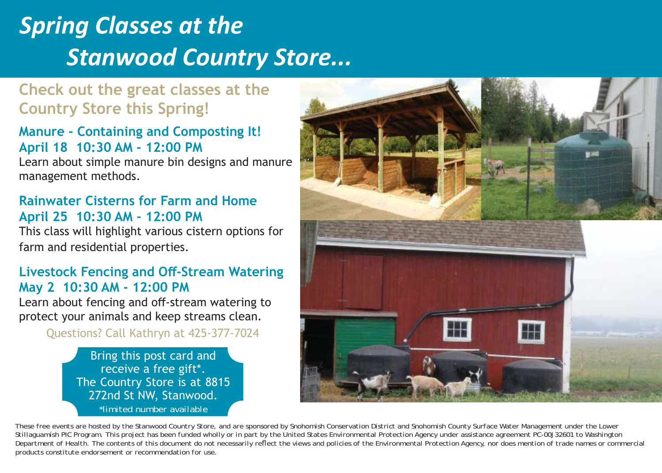# *Spring Classes at the Stanwood Country Store...*

# **Check out the great classes at the Country Store this Spring!**

#### **Manure - Containing and Composting It! April 18 10:30 AM - 12:00 PM**

Learn about simple manure bin designs and manure management methods.

## **Rainwater Cisterns for Farm and HomeApril 25 10:30 AM - 12:00 PM**

This class will highlight various cistern options for farm and residential properties.

## **Livestock Fencing and Off -Stream Watering May 2 10:30 AM - 12:00 PM**

Learn about fencing and off-stream watering to protect your animals and keep streams clean.

Questions? Call Kathryn at 425-377-7024

Bring this post card and receive a free gift\*. The Country Store is at 8815 272nd St NW, Stanwood. *\*limited number available*



*These free events are hosted by the Stanwood Country Store, and are sponsored by Snohomish Conservation District and Snohomish County Surface Water Management under the Lower Stillaguamish PIC Program. This project has been funded wholly or in part by the United States Environmental Protection Agency under assistance agreement PC-00J32601 to Washington Department of Health. The contents of this document do not necessarily refl ect the views and policies of the Environmental Protection Agency, nor does mention of trade names or commercial products constitute endorsement or recommendation for use.*